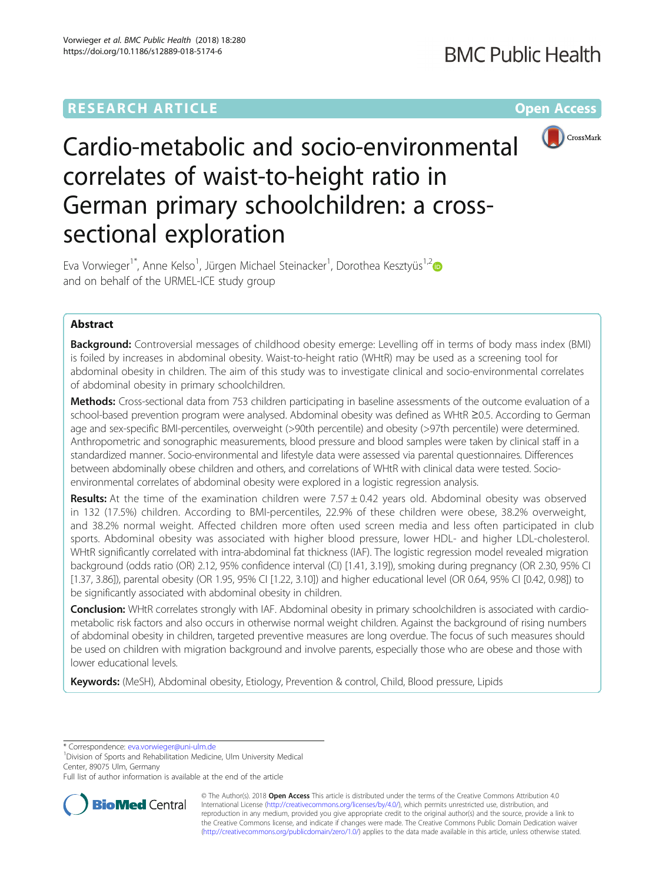# **RESEARCH ARTICLE Example 2014 12:30 The Contract of Contract ACCESS**



# Cardio-metabolic and socio-environmental correlates of waist-to-height ratio in German primary schoolchildren: a crosssectional exploration

Eva Vorwieger<sup>1\*</sup>, Anne Kelso<sup>1</sup>, Jürgen Michael Steinacker<sup>1</sup>, Dorothea Kesztyüs<sup>1,2</sup> and on behalf of the URMEL-ICE study group

# Abstract

**Background:** Controversial messages of childhood obesity emerge: Levelling off in terms of body mass index (BMI) is foiled by increases in abdominal obesity. Waist-to-height ratio (WHtR) may be used as a screening tool for abdominal obesity in children. The aim of this study was to investigate clinical and socio-environmental correlates of abdominal obesity in primary schoolchildren.

Methods: Cross-sectional data from 753 children participating in baseline assessments of the outcome evaluation of a school-based prevention program were analysed. Abdominal obesity was defined as WHtR ≥0.5. According to German age and sex-specific BMI-percentiles, overweight (>90th percentile) and obesity (>97th percentile) were determined. Anthropometric and sonographic measurements, blood pressure and blood samples were taken by clinical staff in a standardized manner. Socio-environmental and lifestyle data were assessed via parental questionnaires. Differences between abdominally obese children and others, and correlations of WHtR with clinical data were tested. Socioenvironmental correlates of abdominal obesity were explored in a logistic regression analysis.

**Results:** At the time of the examination children were  $7.57 \pm 0.42$  years old. Abdominal obesity was observed in 132 (17.5%) children. According to BMI-percentiles, 22.9% of these children were obese, 38.2% overweight, and 38.2% normal weight. Affected children more often used screen media and less often participated in club sports. Abdominal obesity was associated with higher blood pressure, lower HDL- and higher LDL-cholesterol. WHtR significantly correlated with intra-abdominal fat thickness (IAF). The logistic regression model revealed migration background (odds ratio (OR) 2.12, 95% confidence interval (CI) [1.41, 3.19]), smoking during pregnancy (OR 2.30, 95% CI [1.37, 3.86]), parental obesity (OR 1.95, 95% CI [1.22, 3.10]) and higher educational level (OR 0.64, 95% CI [0.42, 0.98]) to be significantly associated with abdominal obesity in children.

Conclusion: WHtR correlates strongly with IAF. Abdominal obesity in primary schoolchildren is associated with cardiometabolic risk factors and also occurs in otherwise normal weight children. Against the background of rising numbers of abdominal obesity in children, targeted preventive measures are long overdue. The focus of such measures should be used on children with migration background and involve parents, especially those who are obese and those with lower educational levels.

Keywords: (MeSH), Abdominal obesity, Etiology, Prevention & control, Child, Blood pressure, Lipids

\* Correspondence: [eva.vorwieger@uni-ulm.de](mailto:eva.vorwieger@uni-ulm.de) <sup>1</sup>

<sup>1</sup> Division of Sports and Rehabilitation Medicine, Ulm University Medical Center, 89075 Ulm, Germany

Full list of author information is available at the end of the article



© The Author(s). 2018 Open Access This article is distributed under the terms of the Creative Commons Attribution 4.0 International License [\(http://creativecommons.org/licenses/by/4.0/](http://creativecommons.org/licenses/by/4.0/)), which permits unrestricted use, distribution, and reproduction in any medium, provided you give appropriate credit to the original author(s) and the source, provide a link to the Creative Commons license, and indicate if changes were made. The Creative Commons Public Domain Dedication waiver [\(http://creativecommons.org/publicdomain/zero/1.0/](http://creativecommons.org/publicdomain/zero/1.0/)) applies to the data made available in this article, unless otherwise stated.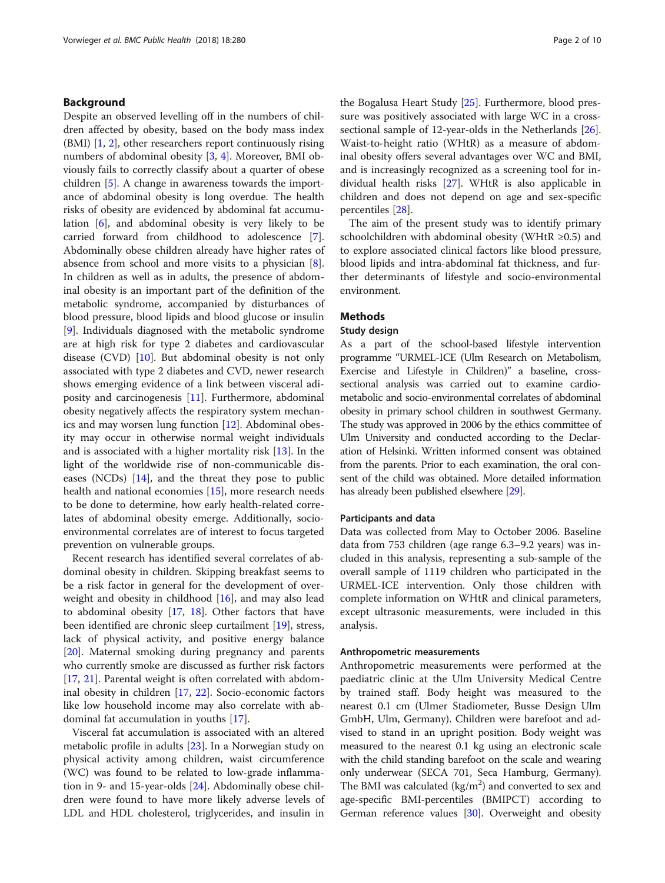# Background

Despite an observed levelling off in the numbers of children affected by obesity, based on the body mass index (BMI) [\[1](#page-8-0), [2](#page-8-0)], other researchers report continuously rising numbers of abdominal obesity [[3](#page-8-0), [4\]](#page-8-0). Moreover, BMI obviously fails to correctly classify about a quarter of obese children [[5\]](#page-8-0). A change in awareness towards the importance of abdominal obesity is long overdue. The health risks of obesity are evidenced by abdominal fat accumulation [\[6](#page-8-0)], and abdominal obesity is very likely to be carried forward from childhood to adolescence [\[7](#page-8-0)]. Abdominally obese children already have higher rates of absence from school and more visits to a physician  $[8]$  $[8]$ . In children as well as in adults, the presence of abdominal obesity is an important part of the definition of the metabolic syndrome, accompanied by disturbances of blood pressure, blood lipids and blood glucose or insulin [[9\]](#page-8-0). Individuals diagnosed with the metabolic syndrome are at high risk for type 2 diabetes and cardiovascular disease (CVD) [[10\]](#page-8-0). But abdominal obesity is not only associated with type 2 diabetes and CVD, newer research shows emerging evidence of a link between visceral adiposity and carcinogenesis [\[11\]](#page-8-0). Furthermore, abdominal obesity negatively affects the respiratory system mechanics and may worsen lung function [[12\]](#page-8-0). Abdominal obesity may occur in otherwise normal weight individuals and is associated with a higher mortality risk [[13](#page-8-0)]. In the light of the worldwide rise of non-communicable diseases (NCDs) [[14](#page-8-0)], and the threat they pose to public health and national economies [\[15\]](#page-8-0), more research needs to be done to determine, how early health-related correlates of abdominal obesity emerge. Additionally, socioenvironmental correlates are of interest to focus targeted prevention on vulnerable groups.

Recent research has identified several correlates of abdominal obesity in children. Skipping breakfast seems to be a risk factor in general for the development of overweight and obesity in childhood [[16\]](#page-8-0), and may also lead to abdominal obesity [[17,](#page-8-0) [18](#page-8-0)]. Other factors that have been identified are chronic sleep curtailment [\[19](#page-8-0)], stress, lack of physical activity, and positive energy balance [[20\]](#page-8-0). Maternal smoking during pregnancy and parents who currently smoke are discussed as further risk factors [[17,](#page-8-0) [21\]](#page-8-0). Parental weight is often correlated with abdominal obesity in children [[17](#page-8-0), [22](#page-8-0)]. Socio-economic factors like low household income may also correlate with abdominal fat accumulation in youths [[17\]](#page-8-0).

Visceral fat accumulation is associated with an altered metabolic profile in adults [\[23](#page-8-0)]. In a Norwegian study on physical activity among children, waist circumference (WC) was found to be related to low-grade inflammation in 9- and 15-year-olds [[24\]](#page-8-0). Abdominally obese children were found to have more likely adverse levels of LDL and HDL cholesterol, triglycerides, and insulin in the Bogalusa Heart Study [[25\]](#page-8-0). Furthermore, blood pressure was positively associated with large WC in a crosssectional sample of 12-year-olds in the Netherlands [\[26](#page-8-0)]. Waist-to-height ratio (WHtR) as a measure of abdominal obesity offers several advantages over WC and BMI, and is increasingly recognized as a screening tool for individual health risks [[27\]](#page-8-0). WHtR is also applicable in children and does not depend on age and sex-specific percentiles [[28\]](#page-8-0).

The aim of the present study was to identify primary schoolchildren with abdominal obesity (WHtR ≥0.5) and to explore associated clinical factors like blood pressure, blood lipids and intra-abdominal fat thickness, and further determinants of lifestyle and socio-environmental environment.

# **Methods**

## Study design

As a part of the school-based lifestyle intervention programme "URMEL-ICE (Ulm Research on Metabolism, Exercise and Lifestyle in Children)" a baseline, crosssectional analysis was carried out to examine cardiometabolic and socio-environmental correlates of abdominal obesity in primary school children in southwest Germany. The study was approved in 2006 by the ethics committee of Ulm University and conducted according to the Declaration of Helsinki. Written informed consent was obtained from the parents. Prior to each examination, the oral consent of the child was obtained. More detailed information has already been published elsewhere [\[29\]](#page-8-0).

## Participants and data

Data was collected from May to October 2006. Baseline data from 753 children (age range 6.3–9.2 years) was included in this analysis, representing a sub-sample of the overall sample of 1119 children who participated in the URMEL-ICE intervention. Only those children with complete information on WHtR and clinical parameters, except ultrasonic measurements, were included in this analysis.

#### Anthropometric measurements

Anthropometric measurements were performed at the paediatric clinic at the Ulm University Medical Centre by trained staff. Body height was measured to the nearest 0.1 cm (Ulmer Stadiometer, Busse Design Ulm GmbH, Ulm, Germany). Children were barefoot and advised to stand in an upright position. Body weight was measured to the nearest 0.1 kg using an electronic scale with the child standing barefoot on the scale and wearing only underwear (SECA 701, Seca Hamburg, Germany). The BMI was calculated  $(kg/m^2)$  and converted to sex and age-specific BMI-percentiles (BMIPCT) according to German reference values [\[30\]](#page-8-0). Overweight and obesity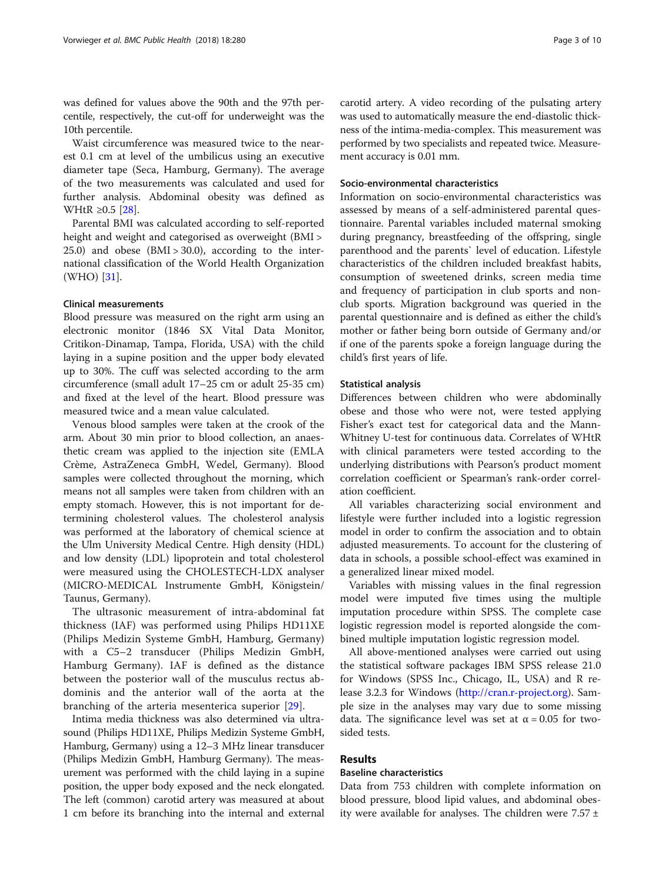was defined for values above the 90th and the 97th percentile, respectively, the cut-off for underweight was the 10th percentile.

Waist circumference was measured twice to the nearest 0.1 cm at level of the umbilicus using an executive diameter tape (Seca, Hamburg, Germany). The average of the two measurements was calculated and used for further analysis. Abdominal obesity was defined as WHtR ≥0.5 [[28\]](#page-8-0).

Parental BMI was calculated according to self-reported height and weight and categorised as overweight (BMI >  $25.0$ ) and obese  $(BMI > 30.0)$ , according to the international classification of the World Health Organization (WHO) [\[31](#page-8-0)].

#### Clinical measurements

Blood pressure was measured on the right arm using an electronic monitor (1846 SX Vital Data Monitor, Critikon-Dinamap, Tampa, Florida, USA) with the child laying in a supine position and the upper body elevated up to 30%. The cuff was selected according to the arm circumference (small adult 17–25 cm or adult 25-35 cm) and fixed at the level of the heart. Blood pressure was measured twice and a mean value calculated.

Venous blood samples were taken at the crook of the arm. About 30 min prior to blood collection, an anaesthetic cream was applied to the injection site (EMLA Crème, AstraZeneca GmbH, Wedel, Germany). Blood samples were collected throughout the morning, which means not all samples were taken from children with an empty stomach. However, this is not important for determining cholesterol values. The cholesterol analysis was performed at the laboratory of chemical science at the Ulm University Medical Centre. High density (HDL) and low density (LDL) lipoprotein and total cholesterol were measured using the CHOLESTECH-LDX analyser (MICRO-MEDICAL Instrumente GmbH, Königstein/ Taunus, Germany).

The ultrasonic measurement of intra-abdominal fat thickness (IAF) was performed using Philips HD11XE (Philips Medizin Systeme GmbH, Hamburg, Germany) with a C5–2 transducer (Philips Medizin GmbH, Hamburg Germany). IAF is defined as the distance between the posterior wall of the musculus rectus abdominis and the anterior wall of the aorta at the branching of the arteria mesenterica superior [[29\]](#page-8-0).

Intima media thickness was also determined via ultrasound (Philips HD11XE, Philips Medizin Systeme GmbH, Hamburg, Germany) using a 12–3 MHz linear transducer (Philips Medizin GmbH, Hamburg Germany). The measurement was performed with the child laying in a supine position, the upper body exposed and the neck elongated. The left (common) carotid artery was measured at about 1 cm before its branching into the internal and external

## Socio-environmental characteristics

Information on socio-environmental characteristics was assessed by means of a self-administered parental questionnaire. Parental variables included maternal smoking during pregnancy, breastfeeding of the offspring, single parenthood and the parents` level of education. Lifestyle characteristics of the children included breakfast habits, consumption of sweetened drinks, screen media time and frequency of participation in club sports and nonclub sports. Migration background was queried in the parental questionnaire and is defined as either the child's mother or father being born outside of Germany and/or if one of the parents spoke a foreign language during the child's first years of life.

## Statistical analysis

Differences between children who were abdominally obese and those who were not, were tested applying Fisher's exact test for categorical data and the Mann-Whitney U-test for continuous data. Correlates of WHtR with clinical parameters were tested according to the underlying distributions with Pearson's product moment correlation coefficient or Spearman's rank-order correlation coefficient.

All variables characterizing social environment and lifestyle were further included into a logistic regression model in order to confirm the association and to obtain adjusted measurements. To account for the clustering of data in schools, a possible school-effect was examined in a generalized linear mixed model.

Variables with missing values in the final regression model were imputed five times using the multiple imputation procedure within SPSS. The complete case logistic regression model is reported alongside the combined multiple imputation logistic regression model.

All above-mentioned analyses were carried out using the statistical software packages IBM SPSS release 21.0 for Windows (SPSS Inc., Chicago, IL, USA) and R release 3.2.3 for Windows [\(http://cran.r-project.org\)](http://cran.r-project.org). Sample size in the analyses may vary due to some missing data. The significance level was set at  $\alpha = 0.05$  for twosided tests.

# Results

#### Baseline characteristics

Data from 753 children with complete information on blood pressure, blood lipid values, and abdominal obesity were available for analyses. The children were  $7.57 \pm$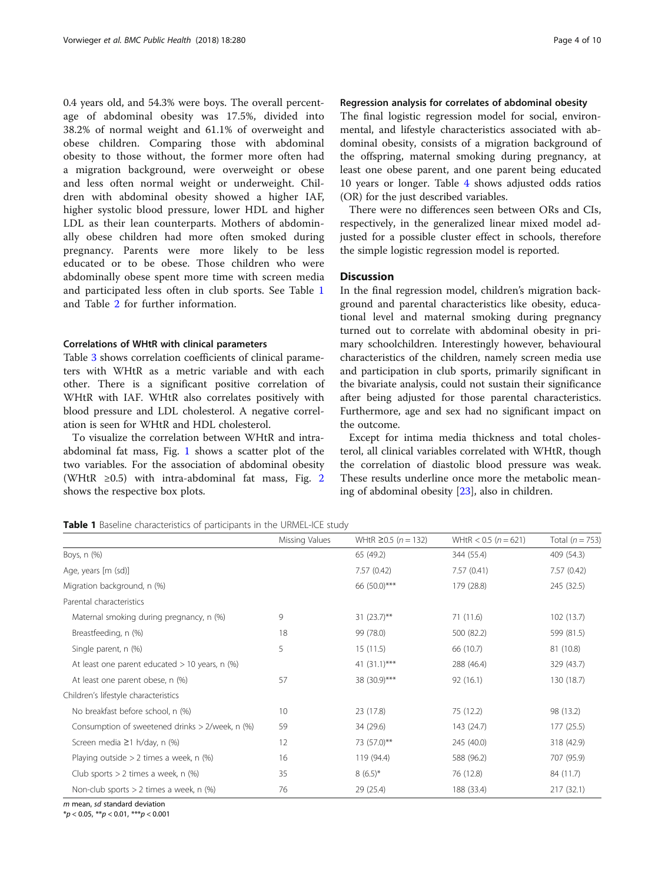0.4 years old, and 54.3% were boys. The overall percentage of abdominal obesity was 17.5%, divided into 38.2% of normal weight and 61.1% of overweight and obese children. Comparing those with abdominal obesity to those without, the former more often had a migration background, were overweight or obese and less often normal weight or underweight. Children with abdominal obesity showed a higher IAF, higher systolic blood pressure, lower HDL and higher LDL as their lean counterparts. Mothers of abdominally obese children had more often smoked during pregnancy. Parents were more likely to be less educated or to be obese. Those children who were abdominally obese spent more time with screen media and participated less often in club sports. See Table 1 and Table [2](#page-4-0) for further information.

#### Correlations of WHtR with clinical parameters

Table [3](#page-4-0) shows correlation coefficients of clinical parameters with WHtR as a metric variable and with each other. There is a significant positive correlation of WHtR with IAF. WHtR also correlates positively with blood pressure and LDL cholesterol. A negative correlation is seen for WHtR and HDL cholesterol.

To visualize the correlation between WHtR and intraabdominal fat mass, Fig. [1](#page-5-0) shows a scatter plot of the two variables. For the association of abdominal obesity (WHtR  $\geq$ 0.5) with intra-abdominal fat mass, Fig. [2](#page-5-0) shows the respective box plots.

# Regression analysis for correlates of abdominal obesity

The final logistic regression model for social, environmental, and lifestyle characteristics associated with abdominal obesity, consists of a migration background of the offspring, maternal smoking during pregnancy, at least one obese parent, and one parent being educated 10 years or longer. Table [4](#page-6-0) shows adjusted odds ratios (OR) for the just described variables.

There were no differences seen between ORs and CIs, respectively, in the generalized linear mixed model adjusted for a possible cluster effect in schools, therefore the simple logistic regression model is reported.

# **Discussion**

In the final regression model, children's migration background and parental characteristics like obesity, educational level and maternal smoking during pregnancy turned out to correlate with abdominal obesity in primary schoolchildren. Interestingly however, behavioural characteristics of the children, namely screen media use and participation in club sports, primarily significant in the bivariate analysis, could not sustain their significance after being adjusted for those parental characteristics. Furthermore, age and sex had no significant impact on the outcome.

Except for intima media thickness and total cholesterol, all clinical variables correlated with WHtR, though the correlation of diastolic blood pressure was weak. These results underline once more the metabolic meaning of abdominal obesity [[23\]](#page-8-0), also in children.

Table 1 Baseline characteristics of participants in the URMEL-ICE study

|                                                     | Missing Values | WHtR ≥0.5 ( $n = 132$ ) | WHtR < $0.5$ ( $n = 621$ ) | Total $(n = 753)$ |
|-----------------------------------------------------|----------------|-------------------------|----------------------------|-------------------|
| Boys, n (%)                                         |                | 65 (49.2)               | 344 (55.4)                 | 409 (54.3)        |
| Age, years [m (sd)]                                 |                | 7.57(0.42)              | 7.57(0.41)                 | 7.57(0.42)        |
| Migration background, n (%)                         |                | 66 (50.0)***            | 179 (28.8)                 | 245 (32.5)        |
| Parental characteristics                            |                |                         |                            |                   |
| Maternal smoking during pregnancy, n (%)            | 9              | $31 (23.7)$ **          | 71(11.6)                   | 102(13.7)         |
| Breastfeeding, n (%)                                | 18             | 99 (78.0)               | 500 (82.2)                 | 599 (81.5)        |
| Single parent, n (%)                                | 5              | 15(11.5)                | 66 (10.7)                  | 81 (10.8)         |
| At least one parent educated $> 10$ years, n $(\%)$ |                | 41 $(31.1)$ ***         | 288 (46.4)                 | 329 (43.7)        |
| At least one parent obese, n (%)                    | 57             | 38 (30.9)***            | 92(16.1)                   | 130 (18.7)        |
| Children's lifestyle characteristics                |                |                         |                            |                   |
| No breakfast before school, n (%)                   | 10             | 23 (17.8)               | 75 (12.2)                  | 98 (13.2)         |
| Consumption of sweetened drinks $> 2$ /week, n (%)  | 59             | 34 (29.6)               | 143 (24.7)                 | 177(25.5)         |
| Screen media $\geq$ 1 h/day, n (%)                  | 12             | 73 (57.0)**             | 245 (40.0)                 | 318 (42.9)        |
| Playing outside $> 2$ times a week, n (%)           | 16             | 119 (94.4)              | 588 (96.2)                 | 707 (95.9)        |
| Club sports $> 2$ times a week, n (%)               | 35             | $8(6.5)^{*}$            | 76 (12.8)                  | 84 (11.7)         |
| Non-club sports $> 2$ times a week, n (%)           | 76             | 29 (25.4)               | 188 (33.4)                 | 217(32.1)         |
| m mean, sd standard deviation                       |                |                         |                            |                   |

 $*p < 0.05$ ,  $**p < 0.01$ ,  $***p < 0.001$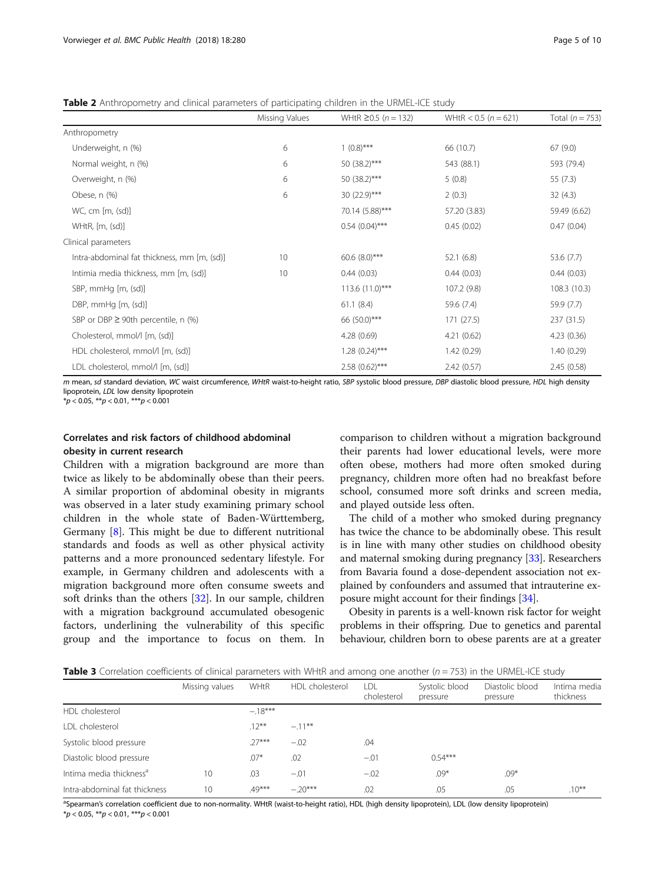<span id="page-4-0"></span>Table 2 Anthropometry and clinical parameters of participating children in the URMEL-ICE study

|                                             | Missing Values | WHtR ≥0.5 ( $n = 132$ ) | WHtR < $0.5$ ( $n = 621$ ) | Total ( $n = 753$ ) |
|---------------------------------------------|----------------|-------------------------|----------------------------|---------------------|
| Anthropometry                               |                |                         |                            |                     |
| Underweight, n (%)                          | 6              | $1(0.8)$ ***            | 66 (10.7)                  | 67(9.0)             |
| Normal weight, n (%)                        | 6              | 50 (38.2)***            | 543 (88.1)                 | 593 (79.4)          |
| Overweight, n (%)                           | 6              | 50 (38.2)***            | 5(0.8)                     | 55(7.3)             |
| Obese, n (%)                                | 6              | 30 (22.9)***            | 2(0.3)                     | 32(4.3)             |
| WC, cm [m, (sd)]                            |                | 70.14 (5.88)***         | 57.20 (3.83)               | 59.49 (6.62)        |
| WHtR, [m, (sd)]                             |                | $0.54(0.04)$ ***        | 0.45(0.02)                 | 0.47(0.04)          |
| Clinical parameters                         |                |                         |                            |                     |
| Intra-abdominal fat thickness, mm [m, (sd)] | 10             | $60.6$ $(8.0)$ ***      | 52.1(6.8)                  | 53.6 (7.7)          |
| Intimia media thickness, mm [m, (sd)]       | 10             | 0.44(0.03)              | 0.44(0.03)                 | 0.44(0.03)          |
| SBP, mmHg [m, (sd)]                         |                | $113.6(11.0)$ ***       | 107.2(9.8)                 | 108.3 (10.3)        |
| DBP, mmHg [m, (sd)]                         |                | 61.1(8.4)               | 59.6 (7.4)                 | 59.9 (7.7)          |
| SBP or DBP $\geq$ 90th percentile, n (%)    |                | 66 (50.0)***            | 171(27.5)                  | 237 (31.5)          |
| Cholesterol, mmol/l [m, (sd)]               |                | 4.28(0.69)              | 4.21(0.62)                 | 4.23(0.36)          |
| HDL cholesterol, mmol/l [m, (sd)]           |                | $1.28$ (0.24)***        | 1.42(0.29)                 | 1.40(0.29)          |
| LDL cholesterol, mmol/l [m, (sd)]           |                | $2.58(0.62)$ ***        | 2.42(0.57)                 | 2.45(0.58)          |

m mean, sd standard deviation, WC waist circumference, WHtR waist-to-height ratio, SBP systolic blood pressure, DBP diastolic blood pressure, HDL high density lipoprotein, LDL low density lipoprotein

 $*_{p}$  < 0.05,  $*_{p}$  < 0.01,  $**_{p}$  < 0.001

# Correlates and risk factors of childhood abdominal obesity in current research

Children with a migration background are more than twice as likely to be abdominally obese than their peers. A similar proportion of abdominal obesity in migrants was observed in a later study examining primary school children in the whole state of Baden-Württemberg, Germany [\[8](#page-8-0)]. This might be due to different nutritional standards and foods as well as other physical activity patterns and a more pronounced sedentary lifestyle. For example, in Germany children and adolescents with a migration background more often consume sweets and soft drinks than the others [[32](#page-8-0)]. In our sample, children with a migration background accumulated obesogenic factors, underlining the vulnerability of this specific group and the importance to focus on them. In

comparison to children without a migration background their parents had lower educational levels, were more often obese, mothers had more often smoked during pregnancy, children more often had no breakfast before school, consumed more soft drinks and screen media, and played outside less often.

The child of a mother who smoked during pregnancy has twice the chance to be abdominally obese. This result is in line with many other studies on childhood obesity and maternal smoking during pregnancy [[33](#page-8-0)]. Researchers from Bavaria found a dose-dependent association not explained by confounders and assumed that intrauterine exposure might account for their findings [[34](#page-8-0)].

Obesity in parents is a well-known risk factor for weight problems in their offspring. Due to genetics and parental behaviour, children born to obese parents are at a greater

|  | Table 3 Correlation coefficients of clinical parameters with WHtR and among one another ( $n = 753$ ) in the URMEL-ICE study |
|--|------------------------------------------------------------------------------------------------------------------------------|
|--|------------------------------------------------------------------------------------------------------------------------------|

|                                     | Missing values | WHtR     | HDL cholesterol | LDL<br>cholesterol | Systolic blood<br>pressure | Diastolic blood<br>pressure | Intima media<br>thickness |
|-------------------------------------|----------------|----------|-----------------|--------------------|----------------------------|-----------------------------|---------------------------|
| HDL cholesterol                     |                | $-18***$ |                 |                    |                            |                             |                           |
| LDL cholesterol                     |                | $.12***$ | $-.11***$       |                    |                            |                             |                           |
| Systolic blood pressure             |                | $.27***$ | $-.02$          | .04                |                            |                             |                           |
| Diastolic blood pressure            |                | $.07*$   | .02             | $-.01$             | $0.54***$                  |                             |                           |
| Intima media thickness <sup>a</sup> | 10             | .03      | $-.01$          | $-.02$             | $.09*$                     | $.09*$                      |                           |
| Intra-abdominal fat thickness       | 10             | $.49***$ | $-.20***$       | .02                | .05                        | .05                         | $.10***$                  |
|                                     |                |          |                 |                    |                            |                             |                           |

<sup>a</sup>Spearman's correlation coefficient due to non-normality. WHtR (waist-to-height ratio), HDL (high density lipoprotein), LDL (low density lipoprotein)  $*p < 0.05$ ,  $**p < 0.01$ ,  $***p < 0.001$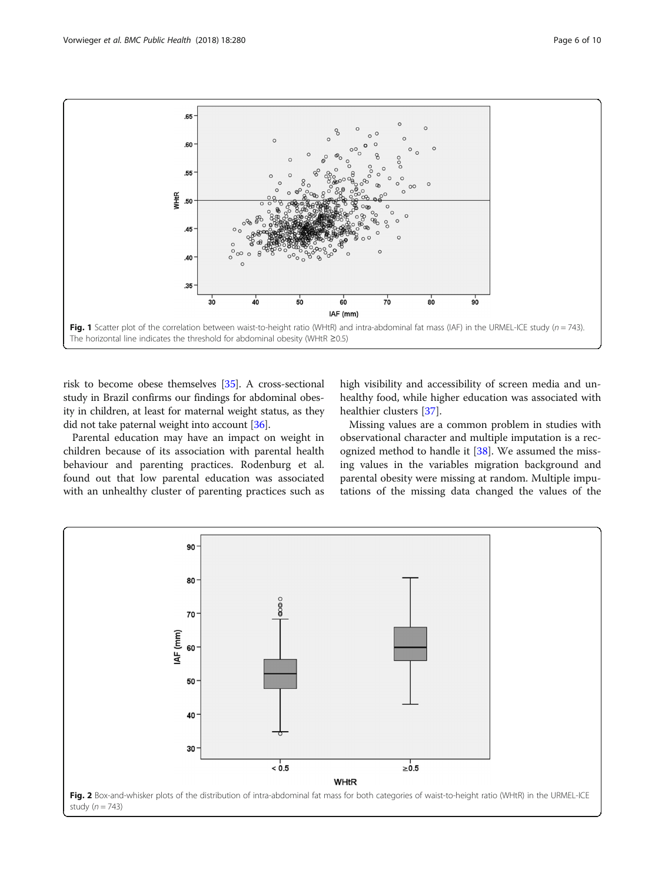<span id="page-5-0"></span>

risk to become obese themselves [\[35\]](#page-8-0). A cross-sectional study in Brazil confirms our findings for abdominal obesity in children, at least for maternal weight status, as they did not take paternal weight into account [\[36](#page-8-0)].

Parental education may have an impact on weight in children because of its association with parental health behaviour and parenting practices. Rodenburg et al. found out that low parental education was associated with an unhealthy cluster of parenting practices such as high visibility and accessibility of screen media and unhealthy food, while higher education was associated with healthier clusters [[37](#page-8-0)].

Missing values are a common problem in studies with observational character and multiple imputation is a recognized method to handle it [\[38\]](#page-8-0). We assumed the missing values in the variables migration background and parental obesity were missing at random. Multiple imputations of the missing data changed the values of the

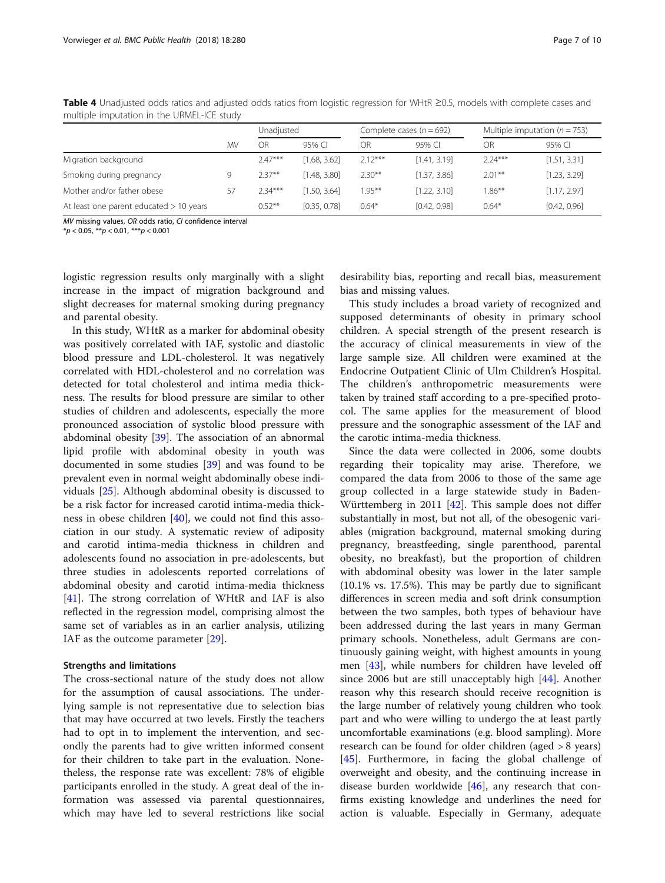|                                           |    | Unadjusted |              | Complete cases ( $n = 692$ ) |              |           | Multiple imputation ( $n = 753$ ) |  |
|-------------------------------------------|----|------------|--------------|------------------------------|--------------|-----------|-----------------------------------|--|
|                                           | MV | OR         | 95% CI       | OR                           | 95% CI       | ΟR        | 95% CI                            |  |
| Migration background                      |    | $2.47***$  | [1.68, 3.62] | $2.12***$                    | [1.41, 3.19] | $2.24***$ | [1.51, 3.31]                      |  |
| Smoking during pregnancy                  |    | $2.37**$   | [1.48, 3.80] | $2.30**$                     | [1.37, 3.86] | $2.01***$ | [1.23, 3.29]                      |  |
| Mother and/or father obese                |    | $2.34***$  | [1.50, 3.64] | $1.95***$                    | [1.22, 3.10] | $1.86***$ | [1.17, 2.97]                      |  |
| At least one parent educated $>$ 10 years |    | $0.52***$  | [0.35, 0.78] | $0.64*$                      | [0.42, 0.98] | $0.64*$   | [0.42, 0.96]                      |  |

<span id="page-6-0"></span>Table 4 Unadjusted odds ratios and adjusted odds ratios from logistic regression for WHtR ≥0.5, models with complete cases and multiple imputation in the URMEL-ICE study

MV missing values, OR odds ratio, CI confidence interval

 $**p* < 0.05$ ,  $***p* < 0.01$ ,  $****p* < 0.001$ 

logistic regression results only marginally with a slight increase in the impact of migration background and slight decreases for maternal smoking during pregnancy and parental obesity.

In this study, WHtR as a marker for abdominal obesity was positively correlated with IAF, systolic and diastolic blood pressure and LDL-cholesterol. It was negatively correlated with HDL-cholesterol and no correlation was detected for total cholesterol and intima media thickness. The results for blood pressure are similar to other studies of children and adolescents, especially the more pronounced association of systolic blood pressure with abdominal obesity [[39\]](#page-8-0). The association of an abnormal lipid profile with abdominal obesity in youth was documented in some studies [[39\]](#page-8-0) and was found to be prevalent even in normal weight abdominally obese individuals [[25](#page-8-0)]. Although abdominal obesity is discussed to be a risk factor for increased carotid intima-media thickness in obese children [\[40](#page-8-0)], we could not find this association in our study. A systematic review of adiposity and carotid intima-media thickness in children and adolescents found no association in pre-adolescents, but three studies in adolescents reported correlations of abdominal obesity and carotid intima-media thickness [[41\]](#page-8-0). The strong correlation of WHtR and IAF is also reflected in the regression model, comprising almost the same set of variables as in an earlier analysis, utilizing IAF as the outcome parameter [\[29\]](#page-8-0).

#### Strengths and limitations

The cross-sectional nature of the study does not allow for the assumption of causal associations. The underlying sample is not representative due to selection bias that may have occurred at two levels. Firstly the teachers had to opt in to implement the intervention, and secondly the parents had to give written informed consent for their children to take part in the evaluation. Nonetheless, the response rate was excellent: 78% of eligible participants enrolled in the study. A great deal of the information was assessed via parental questionnaires, which may have led to several restrictions like social

desirability bias, reporting and recall bias, measurement bias and missing values.

This study includes a broad variety of recognized and supposed determinants of obesity in primary school children. A special strength of the present research is the accuracy of clinical measurements in view of the large sample size. All children were examined at the Endocrine Outpatient Clinic of Ulm Children's Hospital. The children's anthropometric measurements were taken by trained staff according to a pre-specified protocol. The same applies for the measurement of blood pressure and the sonographic assessment of the IAF and the carotic intima-media thickness.

Since the data were collected in 2006, some doubts regarding their topicality may arise. Therefore, we compared the data from 2006 to those of the same age group collected in a large statewide study in Baden-Württemberg in 2011 [\[42\]](#page-8-0). This sample does not differ substantially in most, but not all, of the obesogenic variables (migration background, maternal smoking during pregnancy, breastfeeding, single parenthood, parental obesity, no breakfast), but the proportion of children with abdominal obesity was lower in the later sample (10.1% vs. 17.5%). This may be partly due to significant differences in screen media and soft drink consumption between the two samples, both types of behaviour have been addressed during the last years in many German primary schools. Nonetheless, adult Germans are continuously gaining weight, with highest amounts in young men [[43](#page-8-0)], while numbers for children have leveled off since 2006 but are still unacceptably high [[44](#page-8-0)]. Another reason why this research should receive recognition is the large number of relatively young children who took part and who were willing to undergo the at least partly uncomfortable examinations (e.g. blood sampling). More research can be found for older children (aged > 8 years) [[45\]](#page-8-0). Furthermore, in facing the global challenge of overweight and obesity, and the continuing increase in disease burden worldwide  $[46]$  $[46]$ , any research that confirms existing knowledge and underlines the need for action is valuable. Especially in Germany, adequate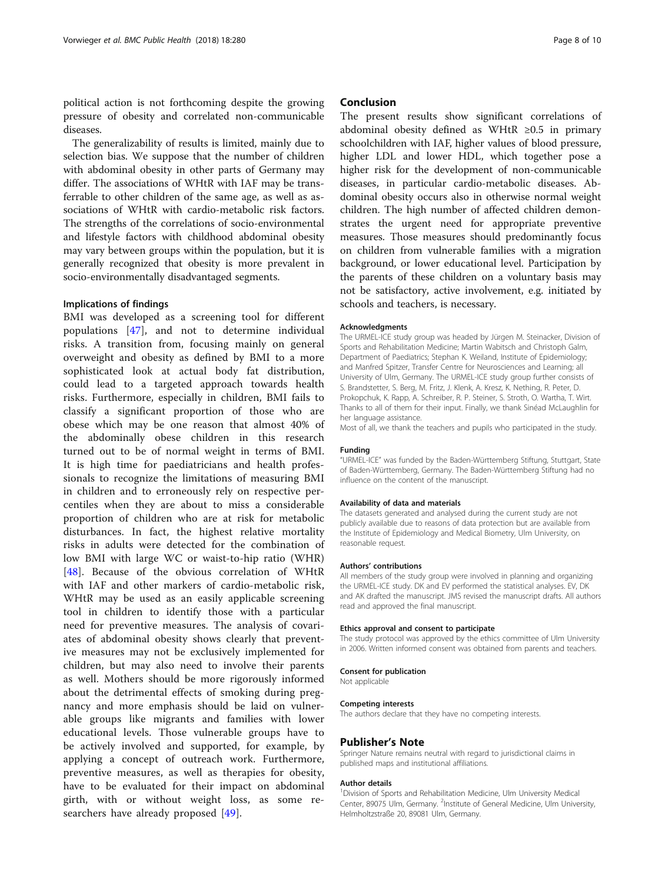political action is not forthcoming despite the growing pressure of obesity and correlated non-communicable diseases.

The generalizability of results is limited, mainly due to selection bias. We suppose that the number of children with abdominal obesity in other parts of Germany may differ. The associations of WHtR with IAF may be transferrable to other children of the same age, as well as associations of WHtR with cardio-metabolic risk factors. The strengths of the correlations of socio-environmental and lifestyle factors with childhood abdominal obesity may vary between groups within the population, but it is generally recognized that obesity is more prevalent in socio-environmentally disadvantaged segments.

# Implications of findings

BMI was developed as a screening tool for different populations [\[47](#page-9-0)], and not to determine individual risks. A transition from, focusing mainly on general overweight and obesity as defined by BMI to a more sophisticated look at actual body fat distribution, could lead to a targeted approach towards health risks. Furthermore, especially in children, BMI fails to classify a significant proportion of those who are obese which may be one reason that almost 40% of the abdominally obese children in this research turned out to be of normal weight in terms of BMI. It is high time for paediatricians and health professionals to recognize the limitations of measuring BMI in children and to erroneously rely on respective percentiles when they are about to miss a considerable proportion of children who are at risk for metabolic disturbances. In fact, the highest relative mortality risks in adults were detected for the combination of low BMI with large WC or waist-to-hip ratio (WHR) [[48\]](#page-9-0). Because of the obvious correlation of WHtR with IAF and other markers of cardio-metabolic risk, WHtR may be used as an easily applicable screening tool in children to identify those with a particular need for preventive measures. The analysis of covariates of abdominal obesity shows clearly that preventive measures may not be exclusively implemented for children, but may also need to involve their parents as well. Mothers should be more rigorously informed about the detrimental effects of smoking during pregnancy and more emphasis should be laid on vulnerable groups like migrants and families with lower educational levels. Those vulnerable groups have to be actively involved and supported, for example, by applying a concept of outreach work. Furthermore, preventive measures, as well as therapies for obesity, have to be evaluated for their impact on abdominal girth, with or without weight loss, as some researchers have already proposed [\[49](#page-9-0)].

# Conclusion

The present results show significant correlations of abdominal obesity defined as WHtR ≥0.5 in primary schoolchildren with IAF, higher values of blood pressure, higher LDL and lower HDL, which together pose a higher risk for the development of non-communicable diseases, in particular cardio-metabolic diseases. Abdominal obesity occurs also in otherwise normal weight children. The high number of affected children demonstrates the urgent need for appropriate preventive measures. Those measures should predominantly focus on children from vulnerable families with a migration background, or lower educational level. Participation by the parents of these children on a voluntary basis may not be satisfactory, active involvement, e.g. initiated by schools and teachers, is necessary.

#### Acknowledgments

The URMEL-ICE study group was headed by Jürgen M. Steinacker, Division of Sports and Rehabilitation Medicine; Martin Wabitsch and Christoph Galm, Department of Paediatrics; Stephan K. Weiland, Institute of Epidemiology; and Manfred Spitzer, Transfer Centre for Neurosciences and Learning; all University of Ulm, Germany. The URMEL-ICE study group further consists of S. Brandstetter, S. Berg, M. Fritz, J. Klenk, A. Kresz, K. Nething, R. Peter, D. Prokopchuk, K. Rapp, A. Schreiber, R. P. Steiner, S. Stroth, O. Wartha, T. Wirt. Thanks to all of them for their input. Finally, we thank Sinéad McLaughlin for her language assistance.

Most of all, we thank the teachers and pupils who participated in the study.

#### Funding

"URMEL-ICE" was funded by the Baden-Württemberg Stiftung, Stuttgart, State of Baden-Württemberg, Germany. The Baden-Württemberg Stiftung had no influence on the content of the manuscript.

#### Availability of data and materials

The datasets generated and analysed during the current study are not publicly available due to reasons of data protection but are available from the Institute of Epidemiology and Medical Biometry, Ulm University, on reasonable request.

#### Authors' contributions

All members of the study group were involved in planning and organizing the URMEL-ICE study. DK and EV performed the statistical analyses. EV, DK and AK drafted the manuscript. JMS revised the manuscript drafts. All authors read and approved the final manuscript.

#### Ethics approval and consent to participate

The study protocol was approved by the ethics committee of Ulm University in 2006. Written informed consent was obtained from parents and teachers.

#### Consent for publication

Not applicable

#### Competing interests

The authors declare that they have no competing interests.

#### Publisher's Note

Springer Nature remains neutral with regard to jurisdictional claims in published maps and institutional affiliations.

#### Author details

<sup>1</sup> Division of Sports and Rehabilitation Medicine, Ulm University Medical Center, 89075 Ulm, Germany. <sup>2</sup>Institute of General Medicine, Ulm University, Helmholtzstraße 20, 89081 Ulm, Germany.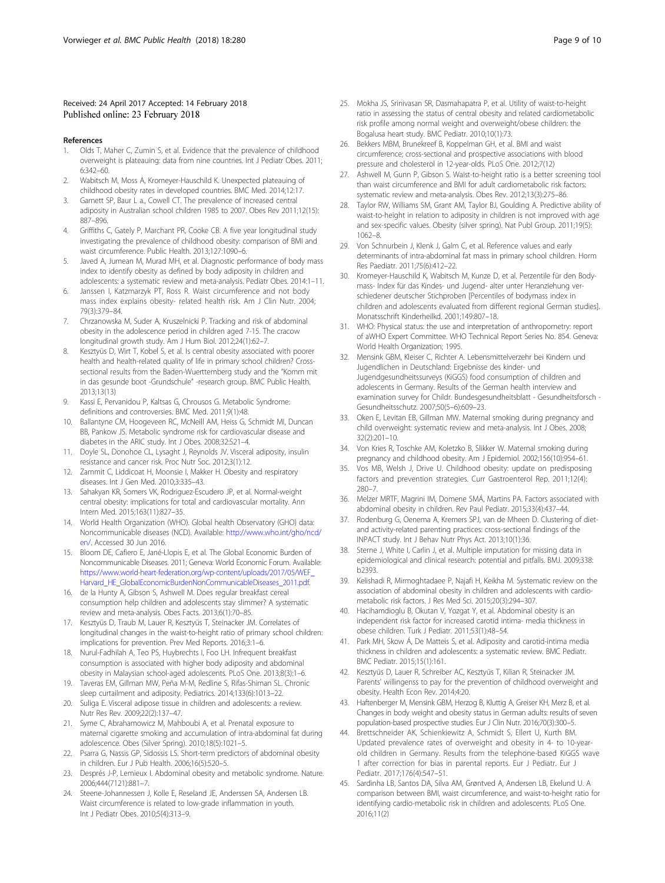### <span id="page-8-0"></span>Received: 24 April 2017 Accepted: 14 February 2018 Published online: 23 February 2018

#### References

- 1. Olds T, Maher C, Zumin S, et al. Evidence that the prevalence of childhood overweight is plateauing: data from nine countries. Int J Pediatr Obes. 2011; 6:342–60.
- 2. Wabitsch M, Moss A, Kromeyer-Hauschild K. Unexpected plateauing of childhood obesity rates in developed countries. BMC Med. 2014;12:17.
- 3. Garnett SP, Baur L a., Cowell CT. The prevalence of increased central adiposity in Australian school children 1985 to 2007. Obes Rev 2011;12(15): 887–896.
- 4. Griffiths C, Gately P, Marchant PR, Cooke CB. A five year longitudinal study investigating the prevalence of childhood obesity: comparison of BMI and waist circumference. Public Health. 2013;127:1090–6.
- 5. Javed A, Jumean M, Murad MH, et al. Diagnostic performance of body mass index to identify obesity as defined by body adiposity in children and adolescents: a systematic review and meta-analysis. Pediatr Obes. 2014:1–11.
- Janssen I, Katzmarzyk PT, Ross R. Waist circumference and not body mass index explains obesity- related health risk. Am J Clin Nutr. 2004; 79(3):379–84.
- 7. Chrzanowska M, Suder A, Kruszelnicki P. Tracking and risk of abdominal obesity in the adolescence period in children aged 7-15. The cracow longitudinal growth study. Am J Hum Biol. 2012;24(1):62–7.
- 8. Kesztyüs D, Wirt T, Kobel S, et al. Is central obesity associated with poorer health and health-related quality of life in primary school children? Crosssectional results from the Baden-Wuerttemberg study and the "Komm mit in das gesunde boot -Grundschule" -research group. BMC Public Health. 2013;13(13)
- 9. Kassi E, Pervanidou P, Kaltsas G, Chrousos G. Metabolic Syndrome: definitions and controversies. BMC Med. 2011;9(1):48.
- 10. Ballantyne CM, Hoogeveen RC, McNeill AM, Heiss G, Schmidt MI, Duncan BB, Pankow JS. Metabolic syndrome risk for cardiovascular disease and diabetes in the ARIC study. Int J Obes. 2008;32:S21–4.
- 11. Doyle SL, Donohoe CL, Lysaght J, Reynolds JV. Visceral adiposity, insulin resistance and cancer risk. Proc Nutr Soc. 2012;3(1):12.
- 12. Zammit C, Liddicoat H, Moonsie I, Makker H. Obesity and respiratory diseases. Int J Gen Med. 2010;3:335–43.
- 13. Sahakyan KR, Somers VK, Rodriguez-Escudero JP, et al. Normal-weight central obesity: implications for total and cardiovascular mortality. Ann Intern Med. 2015;163(11):827–35.
- 14. World Health Organization (WHO). Global health Observatory (GHO) data: Noncommunicable diseases (NCD). Available: [http://www.who.int/gho/ncd/](http://www.who.int/gho/ncd/en) [en/](http://www.who.int/gho/ncd/en). Accessed 30 Jun 2016.
- 15. Bloom DE, Cafiero E, Jané-Llopis E, et al. The Global Economic Burden of Noncommunicable Diseases. 2011; Geneva: World Economic Forum. Available: [https://www.world-heart-federation.org/wp-content/uploads/2017/05/WEF\\_](https://www.world-heart-federation.org/wp-content/uploads/2017/05/WEF_Harvard_HE_GlobalEconomicBurdenNonCommunicableDiseases_2011.pdf) Harvard HE\_GlobalEconomicBurdenNonCommunicableDiseases\_2011.pdf.
- 16. de la Hunty A, Gibson S, Ashwell M. Does regular breakfast cereal consumption help children and adolescents stay slimmer? A systematic review and meta-analysis. Obes Facts. 2013;6(1):70–85.
- 17. Kesztyüs D, Traub M, Lauer R, Kesztyüs T, Steinacker JM. Correlates of longitudinal changes in the waist-to-height ratio of primary school children: implications for prevention. Prev Med Reports. 2016;3:1–6.
- 18. Nurul-Fadhilah A, Teo PS, Huybrechts I, Foo LH. Infrequent breakfast consumption is associated with higher body adiposity and abdominal obesity in Malaysian school-aged adolescents. PLoS One. 2013;8(3):1–6.
- 19. Taveras EM, Gillman MW, Peña M-M, Redline S, Rifas-Shiman SL. Chronic sleep curtailment and adiposity. Pediatrics. 2014;133(6):1013–22.
- 20. Suliga E. Visceral adipose tissue in children and adolescents: a review. Nutr Res Rev. 2009;22(2):137–47.
- 21. Syme C, Abrahamowicz M, Mahboubi A, et al. Prenatal exposure to maternal cigarette smoking and accumulation of intra-abdominal fat during adolescence. Obes (Silver Spring). 2010;18(5):1021–5.
- 22. Psarra G, Nassis GP, Sidossis LS. Short-term predictors of abdominal obesity in children. Eur J Pub Health. 2006;16(5):520–5.
- 23. Després J-P, Lemieux I. Abdominal obesity and metabolic syndrome. Nature. 2006;444(7121):881–7.
- 24. Steene-Johannessen J, Kolle E, Reseland JE, Anderssen SA, Andersen LB. Waist circumference is related to low-grade inflammation in youth. Int J Pediatr Obes. 2010;5(4):313–9.
- 25. Mokha JS, Srinivasan SR, Dasmahapatra P, et al. Utility of waist-to-height ratio in assessing the status of central obesity and related cardiometabolic risk profile among normal weight and overweight/obese children: the Bogalusa heart study. BMC Pediatr. 2010;10(1):73.
- 26. Bekkers MBM, Brunekreef B, Koppelman GH, et al. BMI and waist circumference; cross-sectional and prospective associations with blood pressure and cholesterol in 12-year-olds. PLoS One. 2012;7(12)
- 27. Ashwell M, Gunn P, Gibson S. Waist-to-height ratio is a better screening tool than waist circumference and BMI for adult cardiometabolic risk factors: systematic review and meta-analysis. Obes Rev. 2012;13(3):275–86.
- 28. Taylor RW, Williams SM, Grant AM, Taylor BJ, Goulding A. Predictive ability of waist-to-height in relation to adiposity in children is not improved with age and sex-specific values. Obesity (silver spring). Nat Publ Group. 2011;19(5): 1062–8.
- 29. Von Schnurbein J, Klenk J, Galm C, et al. Reference values and early determinants of intra-abdominal fat mass in primary school children. Horm Res Paediatr. 2011;75(6):412–22.
- 30. Kromeyer-Hauschild K, Wabitsch M, Kunze D, et al. Perzentile für den Bodymass- Index für das Kindes- und Jugend- alter unter Heranziehung verschiedener deutscher Stichproben [Percentiles of bodymass index in children and adolescents evaluated from different regional German studies]. Monatsschrift Kinderheilkd. 2001;149:807–18.
- 31. WHO: Physical status: the use and interpretation of anthropometry: report of aWHO Expert Committee. WHO Technical Report Series No. 854. Geneva: World Health Organization; 1995.
- 32. Mensink GBM, Kleiser C, Richter A. Lebensmittelverzehr bei Kindern und Jugendlichen in Deutschland: Ergebnisse des kinder- und Jugendgesundheitssurveys (KiGGS) food consumption of children and adolescents in Germany. Results of the German health interview and examination survey for Childr. Bundesgesundheitsblatt - Gesundheitsforsch -Gesundheitsschutz. 2007;50(5–6):609–23.
- 33. Oken E, Levitan EB, Gillman MW. Maternal smoking during pregnancy and child overweight: systematic review and meta-analysis. Int J Obes. 2008; 32(2):201–10.
- 34. Von Kries R, Toschke AM, Koletzko B, Slikker W. Maternal smoking during pregnancy and childhood obesity. Am J Epidemiol. 2002;156(10):954–61.
- 35. Vos MB, Welsh J, Drive U. Childhood obesity: update on predisposing factors and prevention strategies. Curr Gastroenterol Rep. 2011;12(4): 280–7.
- 36. Melzer MRTF, Magrini IM, Domene SMÁ, Martins PA. Factors associated with abdominal obesity in children. Rev Paul Pediatr. 2015;33(4):437–44.
- 37. Rodenburg G, Oenema A, Kremers SPJ, van de Mheen D. Clustering of dietand activity-related parenting practices: cross-sectional findings of the INPACT study. Int J Behav Nutr Phys Act. 2013;10(1):36.
- 38. Sterne J, White I, Carlin J, et al. Multiple imputation for missing data in epidemiological and clinical research: potential and pitfalls. BMJ. 2009;338: b2393.
- 39. Kelishadi R, Mirmoghtadaee P, Najafi H, Keikha M. Systematic review on the association of abdominal obesity in children and adolescents with cardiometabolic risk factors. J Res Med Sci. 2015;20(3):294–307.
- 40. Hacihamdioglu B, Okutan V, Yozgat Y, et al. Abdominal obesity is an independent risk factor for increased carotid intima- media thickness in obese children. Turk J Pediatr. 2011;53(1):48–54.
- 41. Park MH, Skow Á, De Matteis S, et al. Adiposity and carotid-intima media thickness in children and adolescents: a systematic review. BMC Pediatr. BMC Pediatr. 2015;15(1):161.
- 42. Kesztyüs D, Lauer R, Schreiber AC, Kesztyüs T, Kilian R, Steinacker JM. Parents' willingenss to pay for the prevention of childhood overweight and obesity. Health Econ Rev. 2014;4:20.
- 43. Haftenberger M, Mensink GBM, Herzog B, Kluttig A, Greiser KH, Merz B, et al. Changes in body weight and obesity status in German adults: results of seven population-based prospective studies. Eur J Clin Nutr. 2016;70(3):300–5.
- 44. Brettschneider AK, Schienkiewitz A, Schmidt S, Ellert U, Kurth BM. Updated prevalence rates of overweight and obesity in 4- to 10-yearold children in Germany. Results from the telephone-based KiGGS wave 1 after correction for bias in parental reports. Eur J Pediatr. Eur J Pediatr. 2017;176(4):547–51.
- 45. Sardinha LB, Santos DA, Silva AM, Grøntved A, Andersen LB, Ekelund U. A comparison between BMI, waist circumference, and waist-to-height ratio for identifying cardio-metabolic risk in children and adolescents. PLoS One. 2016;11(2)